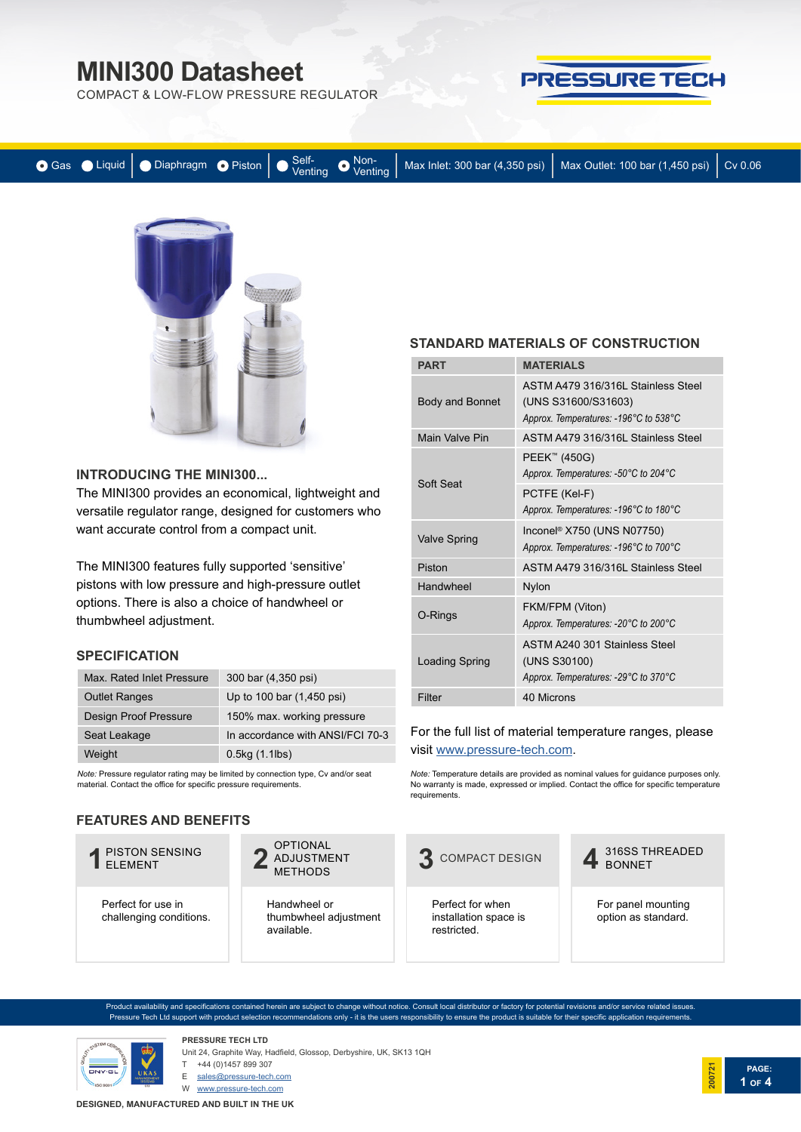COMPACT & LOW-FLOW PRESSURE REGULATOR



|  |  |  | ● Gas ● Liquid   ● Diaphragm ● Piston   ● Venting ● Venting   Max Inlet: 300 bar (4,350 psi)   Max Outlet: 100 bar (1,450 psi)   Cv 0.06 |  |
|--|--|--|------------------------------------------------------------------------------------------------------------------------------------------|--|
|  |  |  |                                                                                                                                          |  |



#### **INTRODUCING THE MINI300...**

The MINI300 provides an economical, lightweight and versatile regulator range, designed for customers who want accurate control from a compact unit.

The MINI300 features fully supported 'sensitive' pistons with low pressure and high-pressure outlet options. There is also a choice of handwheel or thumbwheel adjustment.

#### **SPECIFICATION**

| Max. Rated Inlet Pressure    | 300 bar (4,350 psi)              |
|------------------------------|----------------------------------|
| <b>Outlet Ranges</b>         | Up to 100 bar (1,450 psi)        |
| <b>Design Proof Pressure</b> | 150% max. working pressure       |
| Seat Leakage                 | In accordance with ANSI/FCI 70-3 |
| Weight                       | $0.5$ kg $(1.1$ lbs $)$          |

*Note:* Pressure regulator rating may be limited by connection type, Cv and/or seat material. Contact the office for specific pressure requirements.

#### **FEATURES AND BENEFITS**

# **1** PISTON SENSING

Perfect for use in challenging conditions.

OPTIONAL ADJUSTMENT **2** METHODS

Handwheel or thumbwheel adjustment available.

#### **STANDARD MATERIALS OF CONSTRUCTION**

| <b>PART</b>         | <b>MATERIALS</b>                                                                                               |
|---------------------|----------------------------------------------------------------------------------------------------------------|
| Body and Bonnet     | ASTM A479 316/316L Stainless Steel<br>(UNS S31600/S31603)<br>Approx. Temperatures: -196°C to 538°C             |
| Main Valve Pin      | ASTM A479 316/316L Stainless Steel                                                                             |
| Soft Seat           | PEEK™ (450G)<br>Approx. Temperatures: -50°C to 204°C<br>PCTFE (Kel-F)<br>Approx. Temperatures: -196°C to 180°C |
| <b>Valve Spring</b> | Inconel <sup>®</sup> X750 (UNS N07750)<br>Approx. Temperatures: -196°C to 700°C                                |
| Piston              | ASTM A479 316/316L Stainless Steel                                                                             |
| Handwheel           | <b>Nylon</b>                                                                                                   |
| O-Rings             | FKM/FPM (Viton)<br>Approx. Temperatures: -20°C to 200°C                                                        |
| Loading Spring      | ASTM A240 301 Stainless Steel<br>(UNS S30100)<br>Approx. Temperatures: -29°C to 370°C                          |
| Filter              | 40 Microns                                                                                                     |

#### For the full list of material temperature ranges, please visit [www.pressure-tech.com.](http://www.pressure-tech.com/resources/49/material temperature range guide.pdf)

*Note:* Temperature details are provided as nominal values for guidance purposes only. No warranty is made, expressed or implied. Contact the office for specific temperature requirements.



oduct availability and specifications contained herein are subject to change without notice. Consult local distributor or factory for potential revisions and/or service related issues Pressure Tech Ltd support with product selection recommendations only - it is the users responsibility to ensure the product is suitable for their specific application requirements.



**PRESSURE TECH LTD** Unit 24, Graphite Way, Hadfield, Glossop, Derbyshire, UK, SK13 1QH

T +44 (0)1457 899 307

E sales@pressure-tech.com W www.pressure-tech.com

**DESIGNED, MANUFACTURED AND BUILT IN THE UK**

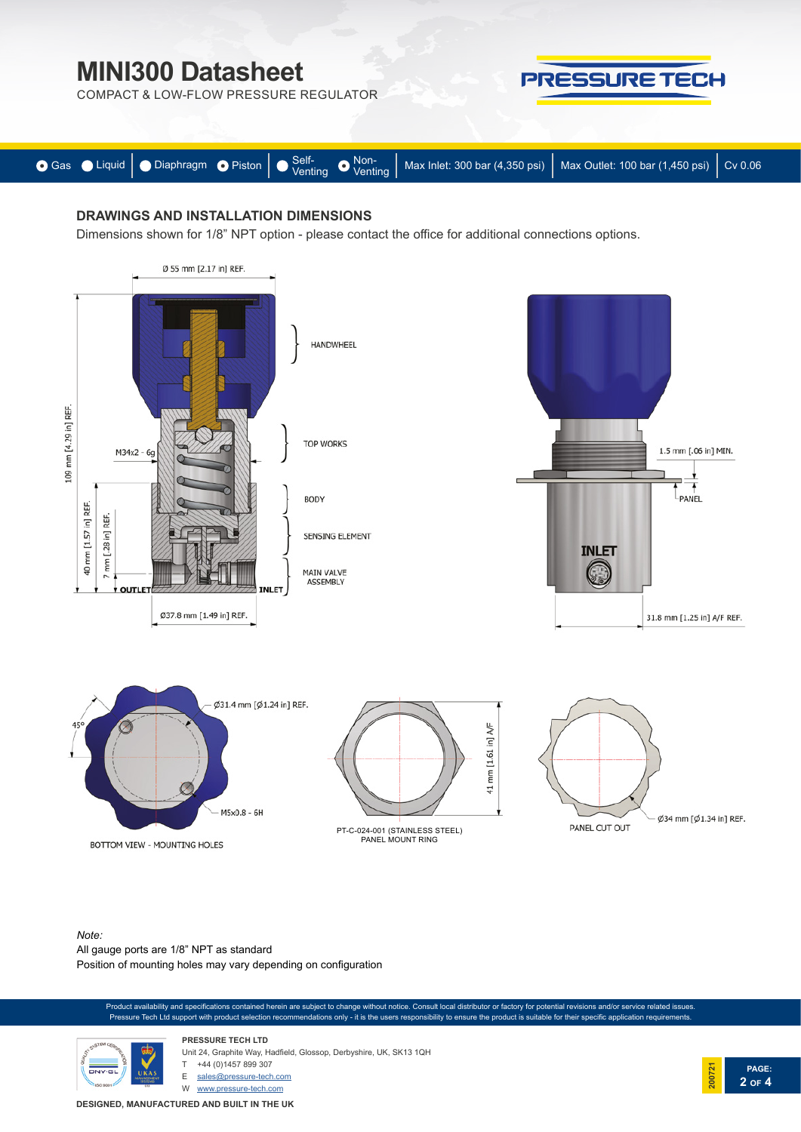COMPACT & LOW-FLOW PRESSURE REGULATOR



**PAGE:**

**2 OF 4**

**200721**



### **DRAWINGS AND INSTALLATION DIMENSIONS**

Dimensions shown for 1/8" NPT option - please contact the office for additional connections options.



*Note:*  All gauge ports are 1/8" NPT as standard Position of mounting holes may vary depending on configuration

oduct availability and specifications contained herein are subject to change without notice. Consult local distributor or factory for potential revisions and/or service related issues. Pressure Tech Ltd support with product selection recommendations only - it is the users responsibility to ensure the product is suitable for their specific application requirements.



**PRESSURE TECH LTD** Unit 24, Graphite Way, Hadfield, Glossop, Derbyshire, UK, SK13 1QH +44 (0)1457 899 307 E sales@pressure-tech.com

W www.pressure-tech.com

**DESIGNED, MANUFACTURED AND BUILT IN THE UK**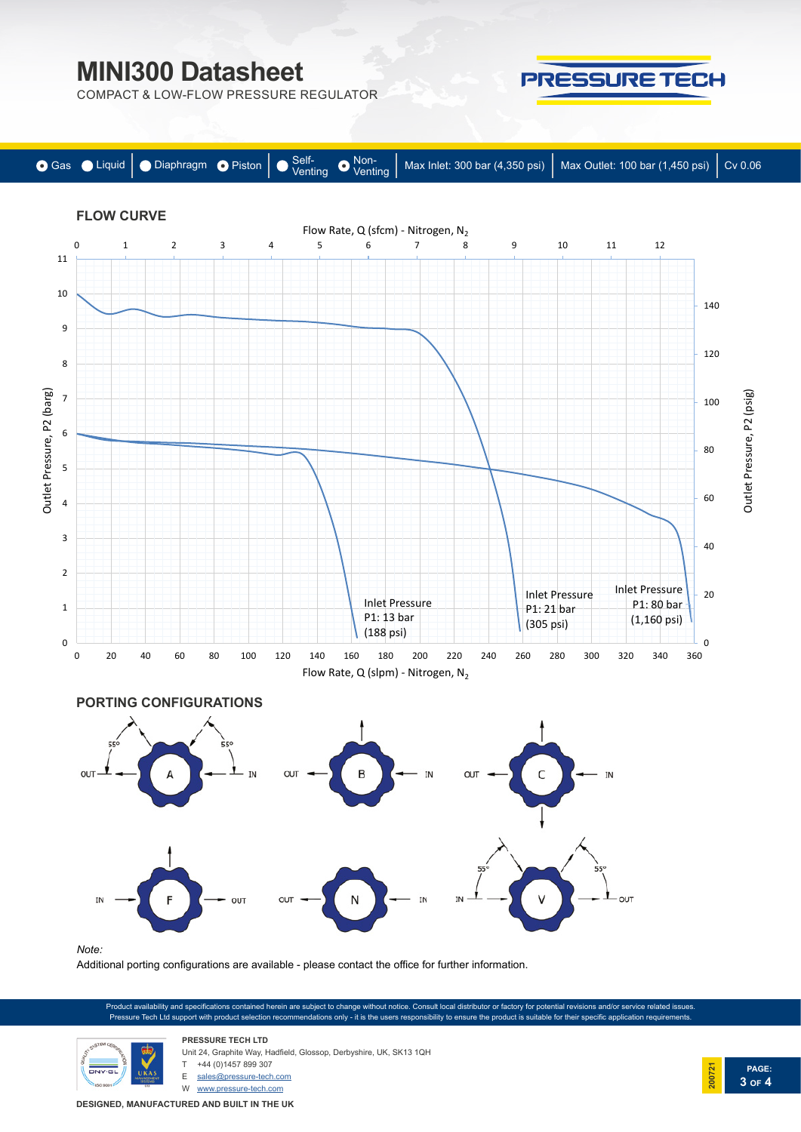COMPACT & LOW-FLOW PRESSURE REGULATOR



**PRESSURE TECH** 

Additional porting configurations are available - please contact the office for further information.

Product availability and specifications contained herein are subject to change without notice. Consult local distributor or factory for potential revisions and/or service related issues. Pressure Tech Ltd support with product selection recommendations only - it is the users responsibility to ensure the product is suitable for their specific application requirements.



**PRESSURE TECH LTD** Unit 24, Graphite Way, Hadfield, Glossop, Derbyshire, UK, SK13 1QH +44 (0)1457 899 307

E sales@pressure-tech.com

W www.pressure-tech.com